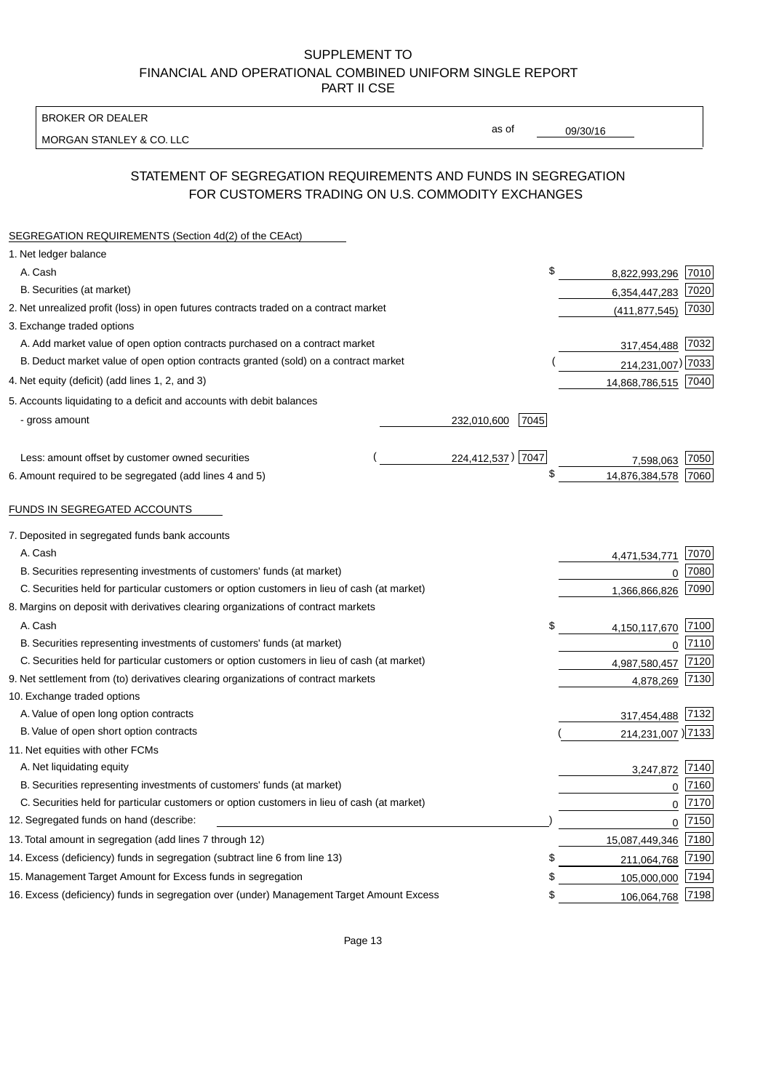BROKER OR DEALER

MORGAN STANLEY & CO. LLC

09/30/16

as of

# STATEMENT OF SEGREGATION REQUIREMENTS AND FUNDS IN SEGREGATION FOR CUSTOMERS TRADING ON U.S. COMMODITY EXCHANGES

| SEGREGATION REQUIREMENTS (Section 4d(2) of the CEAct)                                       |                   |      |                     |      |
|---------------------------------------------------------------------------------------------|-------------------|------|---------------------|------|
| 1. Net ledger balance                                                                       |                   |      |                     |      |
| A. Cash                                                                                     |                   | \$   | 8,822,993,296       | 7010 |
| B. Securities (at market)                                                                   |                   |      | 6,354,447,283       | 7020 |
| 2. Net unrealized profit (loss) in open futures contracts traded on a contract market       |                   |      | (411, 877, 545)     | 7030 |
| 3. Exchange traded options                                                                  |                   |      |                     |      |
| A. Add market value of open option contracts purchased on a contract market                 |                   |      | 317,454,488 7032    |      |
| B. Deduct market value of open option contracts granted (sold) on a contract market         |                   |      | 214,231,007) 7033   |      |
| 4. Net equity (deficit) (add lines 1, 2, and 3)                                             |                   |      | 14,868,786,515 7040 |      |
| 5. Accounts liquidating to a deficit and accounts with debit balances                       |                   |      |                     |      |
| - gross amount                                                                              | 232,010,600       | 7045 |                     |      |
|                                                                                             |                   |      |                     |      |
| Less: amount offset by customer owned securities                                            | 224,412,537) 7047 |      | 7,598,063           | 7050 |
| 6. Amount required to be segregated (add lines 4 and 5)                                     |                   | \$   | 14,876,384,578      | 7060 |
|                                                                                             |                   |      |                     |      |
| FUNDS IN SEGREGATED ACCOUNTS                                                                |                   |      |                     |      |
| 7. Deposited in segregated funds bank accounts                                              |                   |      |                     |      |
| A. Cash                                                                                     |                   |      | 4,471,534,771       | 7070 |
| B. Securities representing investments of customers' funds (at market)                      |                   |      | $\Omega$            | 7080 |
| C. Securities held for particular customers or option customers in lieu of cash (at market) |                   |      | 1,366,866,826       | 7090 |
| 8. Margins on deposit with derivatives clearing organizations of contract markets           |                   |      |                     |      |
| A. Cash                                                                                     |                   | \$   | 4,150,117,670       | 7100 |
| B. Securities representing investments of customers' funds (at market)                      |                   |      | $\overline{0}$      | 7110 |
| C. Securities held for particular customers or option customers in lieu of cash (at market) |                   |      | 4,987,580,457       | 7120 |
| 9. Net settlement from (to) derivatives clearing organizations of contract markets          |                   |      | 4,878,269           | 7130 |
| 10. Exchange traded options                                                                 |                   |      |                     |      |
| A. Value of open long option contracts                                                      |                   |      | 317,454,488         | 7132 |
| B. Value of open short option contracts                                                     |                   |      | 214,231,007 )7133   |      |
| 11. Net equities with other FCMs                                                            |                   |      |                     |      |
| A. Net liquidating equity                                                                   |                   |      | 3,247,872           | 7140 |
| B. Securities representing investments of customers' funds (at market)                      |                   |      | $\mathbf 0$         | 7160 |
| C. Securities held for particular customers or option customers in lieu of cash (at market) |                   |      | 0                   | 7170 |
| 12. Segregated funds on hand (describe:                                                     |                   |      | 0                   | 7150 |
| 13. Total amount in segregation (add lines 7 through 12)                                    |                   |      | 15,087,449,346      | 7180 |
| 14. Excess (deficiency) funds in segregation (subtract line 6 from line 13)                 |                   | S    | 211,064,768         | 7190 |
| 15. Management Target Amount for Excess funds in segregation                                |                   | \$   | 105,000,000         | 7194 |
| 16. Excess (deficiency) funds in segregation over (under) Management Target Amount Excess   |                   | \$   | 106,064,768         | 7198 |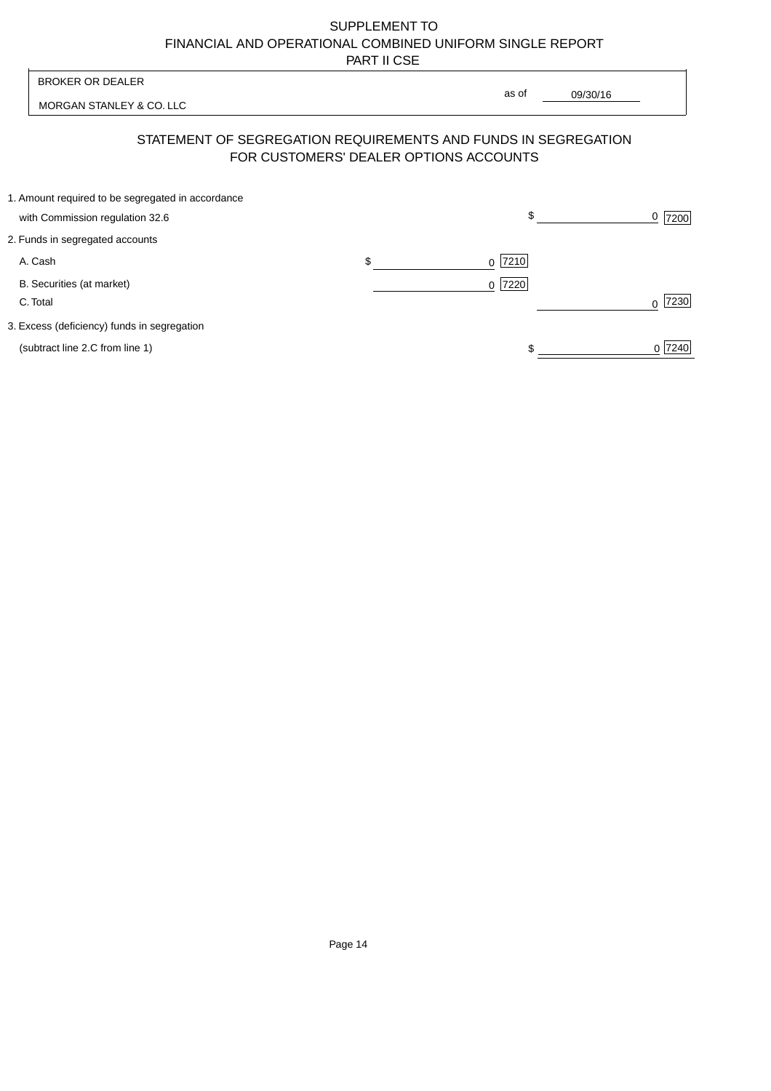|                                                                                                          | <b>BROKER OR DEALER</b>                                                              |    | as of                |          |                  |  |
|----------------------------------------------------------------------------------------------------------|--------------------------------------------------------------------------------------|----|----------------------|----------|------------------|--|
|                                                                                                          | MORGAN STANLEY & CO. LLC                                                             |    |                      | 09/30/16 |                  |  |
| STATEMENT OF SEGREGATION REQUIREMENTS AND FUNDS IN SEGREGATION<br>FOR CUSTOMERS' DEALER OPTIONS ACCOUNTS |                                                                                      |    |                      |          |                  |  |
|                                                                                                          | 1. Amount required to be segregated in accordance<br>with Commission regulation 32.6 |    | \$                   |          | 0<br>7200        |  |
|                                                                                                          | 2. Funds in segregated accounts                                                      |    |                      |          |                  |  |
|                                                                                                          | A. Cash                                                                              | \$ | 7210<br><sup>0</sup> |          |                  |  |
|                                                                                                          | B. Securities (at market)<br>C. Total                                                |    | $0$  7220            |          | 7230<br>$\Omega$ |  |
|                                                                                                          | 3. Excess (deficiency) funds in segregation                                          |    |                      |          |                  |  |
|                                                                                                          | (subtract line 2.C from line 1)                                                      |    |                      |          | 0 7240           |  |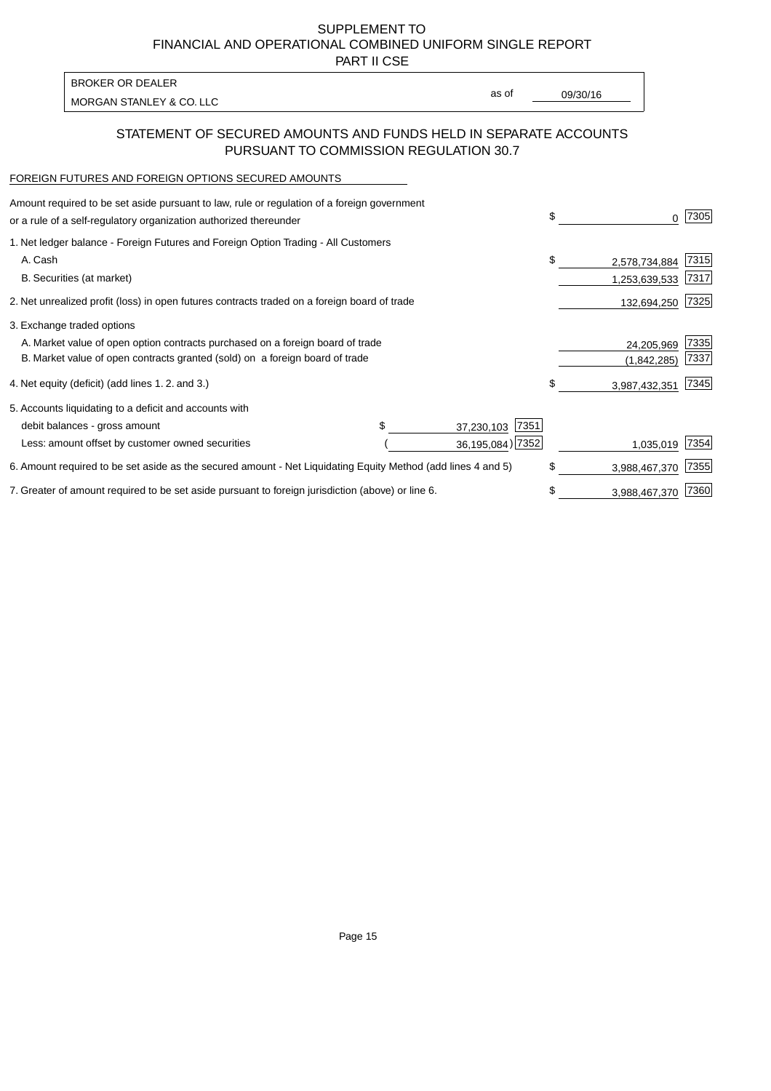PART II CSE

| <b>BROKER OR DEALER</b>  |       |          |
|--------------------------|-------|----------|
| MORGAN STANLEY & CO. LLC | as of | 09/30/16 |
|                          |       |          |

## STATEMENT OF SECURED AMOUNTS AND FUNDS HELD IN SEPARATE ACCOUNTS PURSUANT TO COMMISSION REGULATION 30.7

#### FOREIGN FUTURES AND FOREIGN OPTIONS SECURED AMOUNTS

| Amount required to be set aside pursuant to law, rule or regulation of a foreign government<br>or a rule of a self-regulatory organization authorized thereunder |  |                    | \$                  | 7305 |
|------------------------------------------------------------------------------------------------------------------------------------------------------------------|--|--------------------|---------------------|------|
| 1. Net ledger balance - Foreign Futures and Foreign Option Trading - All Customers                                                                               |  |                    |                     |      |
| A. Cash                                                                                                                                                          |  |                    | \$<br>2,578,734,884 | 7315 |
| B. Securities (at market)                                                                                                                                        |  |                    | 1,253,639,533       | 7317 |
| 2. Net unrealized profit (loss) in open futures contracts traded on a foreign board of trade                                                                     |  |                    | 132,694,250         | 7325 |
| 3. Exchange traded options                                                                                                                                       |  |                    |                     |      |
| A. Market value of open option contracts purchased on a foreign board of trade                                                                                   |  |                    | 24,205,969          | 7335 |
| B. Market value of open contracts granted (sold) on a foreign board of trade                                                                                     |  |                    | (1,842,285)         | 7337 |
| 4. Net equity (deficit) (add lines 1.2. and 3.)                                                                                                                  |  |                    | \$<br>3,987,432,351 | 7345 |
| 5. Accounts liquidating to a deficit and accounts with                                                                                                           |  |                    |                     |      |
| debit balances - gross amount                                                                                                                                    |  | 7351<br>37,230,103 |                     |      |
| Less: amount offset by customer owned securities                                                                                                                 |  | 36,195,084) 7352   | 1,035,019           | 7354 |
| 6. Amount required to be set aside as the secured amount - Net Liquidating Equity Method (add lines 4 and 5)                                                     |  |                    | \$<br>3,988,467,370 | 7355 |
| 7. Greater of amount required to be set aside pursuant to foreign jurisdiction (above) or line 6.                                                                |  |                    | \$<br>3,988,467,370 | 7360 |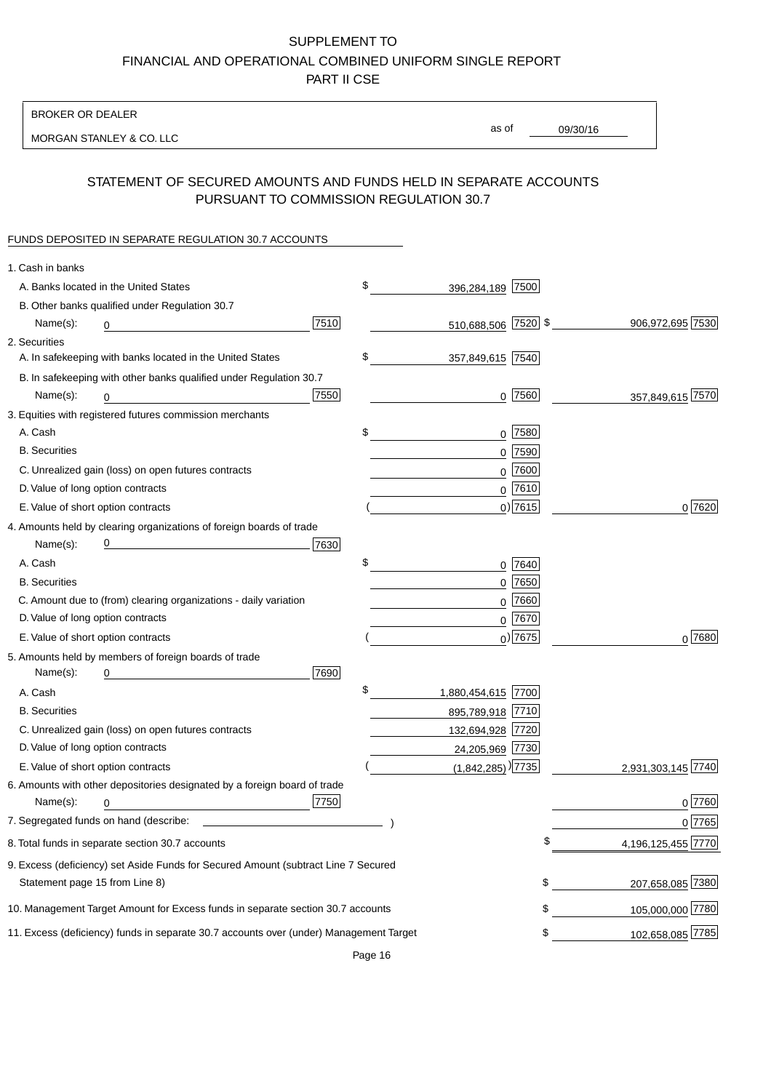BROKER OR DEALER

MORGAN STANLEY & CO. LLC

09/30/16

as of

## STATEMENT OF SECURED AMOUNTS AND FUNDS HELD IN SEPARATE ACCOUNTS PURSUANT TO COMMISSION REGULATION 30.7

### FUNDS DEPOSITED IN SEPARATE REGULATION 30.7 ACCOUNTS

| 1. Cash in banks                   |                                                                                                                      |      |                                   |             |                    |
|------------------------------------|----------------------------------------------------------------------------------------------------------------------|------|-----------------------------------|-------------|--------------------|
|                                    | A. Banks located in the United States                                                                                |      | \$<br>396,284,189 7500            |             |                    |
|                                    | B. Other banks qualified under Regulation 30.7                                                                       |      |                                   |             |                    |
| Name(s):                           | 0                                                                                                                    | 7510 | 510,688,506 7520 \$               |             | 906,972,695 7530   |
| 2. Securities                      |                                                                                                                      |      |                                   |             |                    |
|                                    | A. In safekeeping with banks located in the United States                                                            |      | \$<br>357,849,615 7540            |             |                    |
|                                    | B. In safekeeping with other banks qualified under Regulation 30.7                                                   |      |                                   |             |                    |
| Name(s):                           | 0                                                                                                                    | 7550 |                                   | $0$ 7560    | 357,849,615 7570   |
|                                    | 3. Equities with registered futures commission merchants                                                             |      |                                   |             |                    |
| A. Cash                            |                                                                                                                      |      | \$                                | $0$ 7580    |                    |
| <b>B.</b> Securities               |                                                                                                                      |      |                                   | $0$ 7590    |                    |
|                                    | C. Unrealized gain (loss) on open futures contracts                                                                  |      |                                   | $0$ 7600    |                    |
| D. Value of long option contracts  |                                                                                                                      |      |                                   | $0$ 7610    |                    |
| E. Value of short option contracts |                                                                                                                      |      |                                   | $0$ ) 7615  | 0 7620             |
|                                    | 4. Amounts held by clearing organizations of foreign boards of trade                                                 |      |                                   |             |                    |
| Name(s):                           | <u> 1989 - Johann Barn, mars eta bat erroman erroman erroman erroman erroman erroman erroman erroman erroman err</u> | 7630 |                                   |             |                    |
| A. Cash                            |                                                                                                                      |      | \$                                | 0 7640      |                    |
| <b>B.</b> Securities               |                                                                                                                      |      |                                   | $0$ 7650    |                    |
|                                    | C. Amount due to (from) clearing organizations - daily variation                                                     |      |                                   | $0$ 7660    |                    |
| D. Value of long option contracts  |                                                                                                                      |      |                                   | $0^{7670}$  |                    |
|                                    | E. Value of short option contracts                                                                                   |      |                                   | $_0$ ) 7675 | $0^{7680}$         |
|                                    | 5. Amounts held by members of foreign boards of trade                                                                |      |                                   |             |                    |
| Name(s):                           | 0                                                                                                                    | 7690 |                                   |             |                    |
| A. Cash                            |                                                                                                                      |      | \$<br>1,880,454,615 7700          |             |                    |
| <b>B.</b> Securities               |                                                                                                                      |      | 895,789,918 7710                  |             |                    |
|                                    | C. Unrealized gain (loss) on open futures contracts                                                                  |      | 132,694,928 7720                  |             |                    |
| D. Value of long option contracts  |                                                                                                                      |      | 24,205,969 7730                   |             |                    |
|                                    | E. Value of short option contracts                                                                                   |      | $(1,842,285)$ <sup>)</sup> [7735] |             | 2,931,303,145 7740 |
|                                    | 6. Amounts with other depositories designated by a foreign board of trade                                            |      |                                   |             |                    |
| Name(s):                           | 0                                                                                                                    | 7750 |                                   |             | 0 7760             |
|                                    |                                                                                                                      |      |                                   |             | 0 7765             |
|                                    | 8. Total funds in separate section 30.7 accounts                                                                     |      |                                   | \$          | 4,196,125,455 7770 |
|                                    | 9. Excess (deficiency) set Aside Funds for Secured Amount (subtract Line 7 Secured                                   |      |                                   |             |                    |
| Statement page 15 from Line 8)     |                                                                                                                      |      |                                   | \$          | 207,658,085 7380   |
|                                    | 10. Management Target Amount for Excess funds in separate section 30.7 accounts                                      |      |                                   | \$          | 105,000,000 7780   |
|                                    | 11. Excess (deficiency) funds in separate 30.7 accounts over (under) Management Target                               |      |                                   | \$          | 102,658,085 7785   |
|                                    |                                                                                                                      |      |                                   |             |                    |